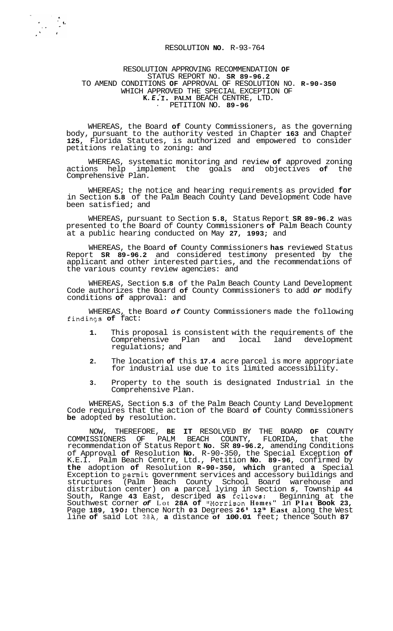## RESOLUTION **NO.** R-93-764

## RESOLUTION APPROVING RECOMMENDATION **OF**  STATUS REPORT NO. **SR 89-96.2**  TO AMEND CONDITIONS **OF** APPROVAL OF RESOLUTION NO. **R-90-350**  WHICH APPROVED THE SPECIAL EXCEPTION OF **K.** *E* **.\*X. PALM** BEACH CENTRE, LTD. ' PETITION NO. **89-96**

WHEREAS, the Board **of** County Commissioners, as the governing body, pursuant to the authority vested in Chapter **163** and Chapter **125,** Florida Statutes, is authorized and empowered to consider petitions relating to zoning: and

WHEREAS, systematic monitoring and review **of** approved zoning actions help implement the goals and objectives **of** the Comprehensive Plan.

WHEREAS; the notice and hearing requirements as provided **for**  in Section **5.8** of the Palm Beach County Land Development Code have been satisfied; and

WHEREAS, pursuant to Section **5.8,** Status Report **SR 89-96.2** was presented to the Board of County Commissioners **of** Palm Beach County at a public hearing conducted on May **27, 1993;** and

WHEREAS, the Board **of** County Commissioners **has** reviewed Status Report **SR 89-96.2** and considered testimony presented by the applicant and other interested parties, and the recommendations of the various county review agencies: and

WHEREAS, Section **5.8** of the Palm Beach County Land Development Code authorizes the Board **of** County Commissioners to add *or* modify conditions **of** approval: and

WHEREAS, the Board *of* County Commissioners made the following findinqs **of** fact:

- **1.** This proposal is consistent with the requirements of the Comprehensive Plan and local land development regulations; and
- **2.** The location **of** this **17.4** acre parcel is more appropriate for industrial use due to its limited accessibility.
- **3.** Property to the south is designated Industrial in the Comprehensive Plan.

WHEREAS, Section **5.3** of the Palm Beach County Land Development Code requires that the action of the Board **of** County Commissioners **be** adopted **by** resolution.

NOW, THEREFORE, **BE IT** RESOLVED BY THE BOARD **OF** COUNTY COMMISSIONERS OF PALM BEACH COUNTY, FLORIDA, that the recommendation of Status Report **No.** SR **89-96.2,** amending Conditions of Approval **of** Resolution **No.** R-90-350, the Special Exception **of**  K.E.I. Palm Beach Centre, Ltd., Petition **No. 89-96,** confirmed by **the** adoption **of** Resolution **R-90-350, which** granted **a** Special Exception to permit government services and accessory buildings and structures (Palm Beach County School Board warehouse and distribution center) on **a** parcel lying in Section *5,* Township **44**  South, Range **43** East, described **as fqllows:** Beginning at the Southwest corner of Lot 28A of "Morrison Homes" in Plat Book 23, Page **189, 190;** thence North **03** Degrees **26' 12" East** along the West line **of** said Lot 28A, **a** distance **of 100.01** feet; thence South **87**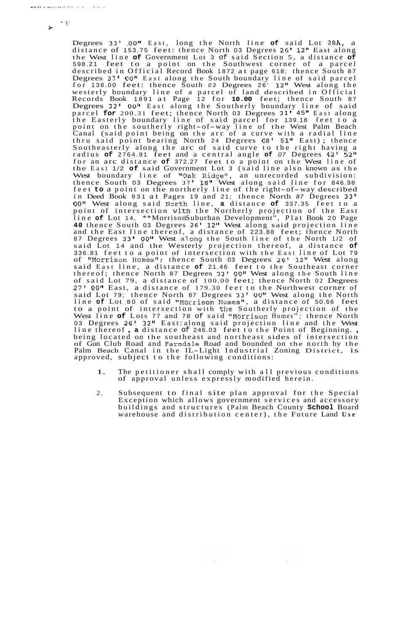$\cdot$  . **i** 

> Degrees *33' .OO1l* East, long the North line **of** said Lot 28A, a distance of 153.75 feet: thence North 03 Degrees 26' 12" East along the West line **of** Government Lot 3 of said Section 5, a distance **of**  598.21 feet to a point on the Southwest corner of a parcel described in Official Record Book 1872 at page 618; thence South 87 Degrees 33' 00" East along the South boundary line of said parcel for 138.00 feet: thence South *03* Degrees 26' 12" West along the westerly boundary line of a parcel of land described in Official Records Book 1891 at Page 12 for **10.00** feet; thence South <sup>87</sup> Degrees 33' 00" East along the Southerly boundary line of said parcel **for** 200.31 feet; thence North 03 Degrees 31' 45" East along the Easterly boundary line of said parcel for 139.18 feet to a point on the southerly right-of-way line of the West Palm Beach Canal (said point being on the arc of a curve with a radial line thru said point bearing North 24 Degrees 08' 51" East) ; thence Southeasterly along the arc of said curve to the right having a radius **of** 2764.91 feet and a central angle **of** *07* Degrees 42' **52"**  for an arc distance **of** 372.27 feet to a point on the West line of the East 1/2 **of** said Government Lot 3 (said line also known as the West boundary line of "Oak Ridge", an unrecorded subdivision: thence South 03 Degrees 37' 18" West along said line for 846.98 feet **to** a point on the northerly line of the right-of-way described in Deed Book 931 at Pages 19 and 21; thence North *87* Degrees 33' *00"* West along said North line, **a** distance **of** 337.35 feet to a point of intersection with the Northerly projection of the East line **of** Lot 14, \*\*Morrison Suburban Development", Plat Book 20 Page **40** thence South 03 Degrees 26' lZ1\* West along said projection line and the East line thereof, a distance of 223.88 feet; thence North <sup>87</sup>Degrees **33'** *00"* West along the South line of the North 1/2 of said Lot 14 and the Westerly projection thereof, a distance **of**  336.81 feet to a point of intersection with the East line of Lot 79 of "Morrison Homes"; thence South 03 Degrees 26' 12" West along said East line, a distance **of** 21.46 feet to the Southeast corner thereof; thence North 87 Degrees *33' 0011* West along the South line of said Lot 79, a distance of 100.00 feet; thence North 02 Degrees 27' 00" East, a distance of 179.30 feet to the Northwest corner of said Lot 79; thence North 87 Degrees 33' *00"* West along the North line of Lot 80 of said "Morrison Homes", a distance of 50.66 feet to a point of intersection with the Southerly projection of the West line **of** Lots 77 and 78 of said "Morrison Homes " ; thence North 03 Degrees 26' 12" East: along said projection line and the West line thereof , **a** distance of 246.03 feet to the Point of Beginning. , being located on the southeast and northeast sides of intersection of Gun Club Road and Farmdale Road and bounded on the north by the Palm Beach Canal in the IL-Light Industrial Zoning District, is approved, subject to the following conditions:

- 1. The petitioner shall comply with all previous conditions of approval unless expressly modified herein.
- 2. Subsequent to final site plan approval for the Special Exception which allows government services and accessory buildings and structures (Palm Beach County **School** Board warehouse and distribution center), the Future Land **Use**